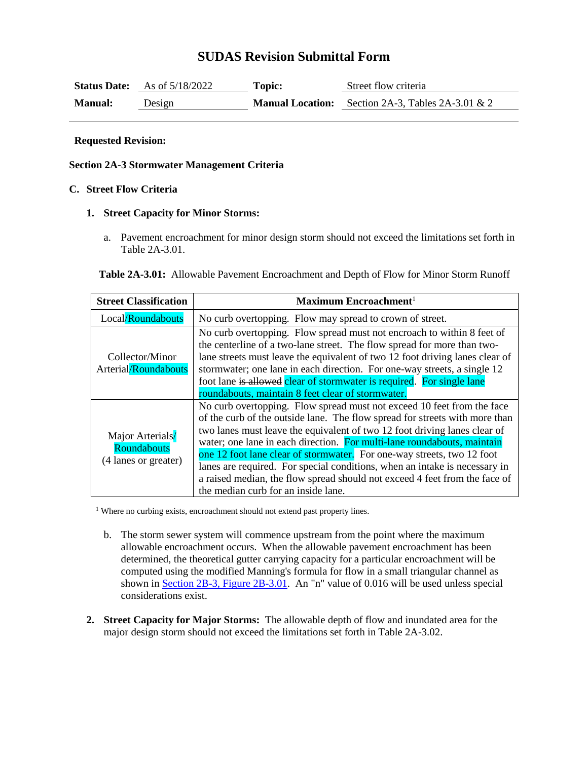# **SUDAS Revision Submittal Form**

|                | <b>Status Date:</b> As of $5/18/2022$ | Topic: | Street flow criteria                                        |
|----------------|---------------------------------------|--------|-------------------------------------------------------------|
| <b>Manual:</b> | Design                                |        | <b>Manual Location:</b> Section 2A-3, Tables 2A-3.01 $\&$ 2 |

#### **Requested Revision:**

### **Section 2A-3 Stormwater Management Criteria**

## **C. Street Flow Criteria**

### **1. Street Capacity for Minor Storms:**

a. Pavement encroachment for minor design storm should not exceed the limitations set forth in Table 2A-3.01.

| <b>Table 2A-3.01:</b> Allowable Pavement Encroachment and Depth of Flow for Minor Storm Runoff |
|------------------------------------------------------------------------------------------------|
|------------------------------------------------------------------------------------------------|

| <b>Street Classification</b>                            | Maximum Encroachment <sup>1</sup>                                                                                                                                                                                                                                                                                                                                                                                                                                                                                                                                                          |  |  |
|---------------------------------------------------------|--------------------------------------------------------------------------------------------------------------------------------------------------------------------------------------------------------------------------------------------------------------------------------------------------------------------------------------------------------------------------------------------------------------------------------------------------------------------------------------------------------------------------------------------------------------------------------------------|--|--|
| Local/Roundabouts                                       | No curb overtopping. Flow may spread to crown of street.                                                                                                                                                                                                                                                                                                                                                                                                                                                                                                                                   |  |  |
| Collector/Minor<br>Arterial/Roundabouts                 | No curb overtopping. Flow spread must not encroach to within 8 feet of<br>the centerline of a two-lane street. The flow spread for more than two-<br>lane streets must leave the equivalent of two 12 foot driving lanes clear of<br>stormwater; one lane in each direction. For one-way streets, a single 12<br>foot lane is allowed clear of stormwater is required. For single lane<br>roundabouts, maintain 8 feet clear of stormwater.                                                                                                                                                |  |  |
| Major Arterials/<br>Roundabouts<br>(4 lanes or greater) | No curb overtopping. Flow spread must not exceed 10 feet from the face<br>of the curb of the outside lane. The flow spread for streets with more than<br>two lanes must leave the equivalent of two 12 foot driving lanes clear of<br>water; one lane in each direction. For multi-lane roundabouts, maintain<br>one 12 foot lane clear of stormwater. For one-way streets, two 12 foot<br>lanes are required. For special conditions, when an intake is necessary in<br>a raised median, the flow spread should not exceed 4 feet from the face of<br>the median curb for an inside lane. |  |  |

<sup>1</sup> Where no curbing exists, encroachment should not extend past property lines.

- b. The storm sewer system will commence upstream from the point where the maximum allowable encroachment occurs. When the allowable pavement encroachment has been determined, the theoretical gutter carrying capacity for a particular encroachment will be computed using the modified Manning's formula for flow in a small triangular channel as shown in [Section 2B-3, Figure 2B-3.01.](https://intrans.iastate.edu/app/uploads/sites/15/2020/03/2B-3.pdf#page=4) An "n" value of 0.016 will be used unless special considerations exist.
- **2. Street Capacity for Major Storms:** The allowable depth of flow and inundated area for the major design storm should not exceed the limitations set forth in Table 2A-3.02.